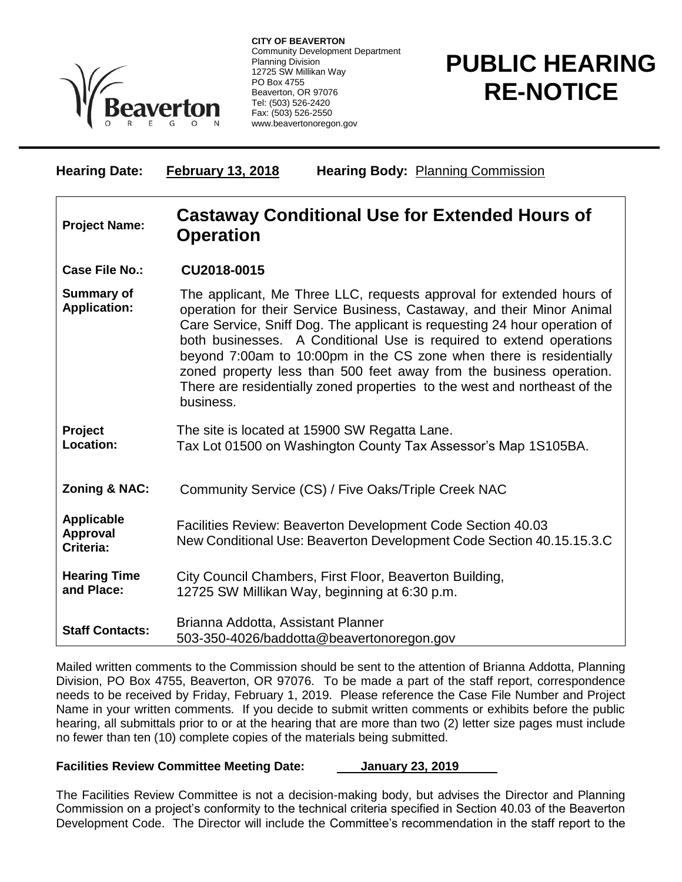

**CITY OF BEAVERTON** Community Development Department Planning Division 12725 SW Millikan Way PO Box 4755 Beaverton, OR 97076 Tel: (503) 526-2420 Fax: (503) 526-2550 www.beavertonoregon.gov

## **PUBLIC HEARING RE-NOTICE**

| <b>Hearing Date:</b>                              | <b>February 13, 2018</b><br><b>Hearing Body: Planning Commission</b>                                                                                                                                                                                                                                                                                                                                                                                                                                                                       |
|---------------------------------------------------|--------------------------------------------------------------------------------------------------------------------------------------------------------------------------------------------------------------------------------------------------------------------------------------------------------------------------------------------------------------------------------------------------------------------------------------------------------------------------------------------------------------------------------------------|
| <b>Project Name:</b>                              | <b>Castaway Conditional Use for Extended Hours of</b><br><b>Operation</b>                                                                                                                                                                                                                                                                                                                                                                                                                                                                  |
| <b>Case File No.:</b>                             | CU2018-0015                                                                                                                                                                                                                                                                                                                                                                                                                                                                                                                                |
| <b>Summary of</b><br><b>Application:</b>          | The applicant, Me Three LLC, requests approval for extended hours of<br>operation for their Service Business, Castaway, and their Minor Animal<br>Care Service, Sniff Dog. The applicant is requesting 24 hour operation of<br>both businesses. A Conditional Use is required to extend operations<br>beyond 7:00am to 10:00pm in the CS zone when there is residentially<br>zoned property less than 500 feet away from the business operation.<br>There are residentially zoned properties to the west and northeast of the<br>business. |
| Project<br>Location:                              | The site is located at 15900 SW Regatta Lane.<br>Tax Lot 01500 on Washington County Tax Assessor's Map 1S105BA.                                                                                                                                                                                                                                                                                                                                                                                                                            |
| Zoning & NAC:                                     | Community Service (CS) / Five Oaks/Triple Creek NAC                                                                                                                                                                                                                                                                                                                                                                                                                                                                                        |
| <b>Applicable</b><br><b>Approval</b><br>Criteria: | Facilities Review: Beaverton Development Code Section 40.03<br>New Conditional Use: Beaverton Development Code Section 40.15.15.3.C                                                                                                                                                                                                                                                                                                                                                                                                        |
| <b>Hearing Time</b><br>and Place:                 | City Council Chambers, First Floor, Beaverton Building,<br>12725 SW Millikan Way, beginning at 6:30 p.m.                                                                                                                                                                                                                                                                                                                                                                                                                                   |
| <b>Staff Contacts:</b>                            | Brianna Addotta, Assistant Planner<br>503-350-4026/baddotta@beavertonoregon.gov                                                                                                                                                                                                                                                                                                                                                                                                                                                            |

Mailed written comments to the Commission should be sent to the attention of Brianna Addotta, Planning Division, PO Box 4755, Beaverton, OR 97076. To be made a part of the staff report, correspondence needs to be received by Friday, February 1, 2019. Please reference the Case File Number and Project Name in your written comments. If you decide to submit written comments or exhibits before the public hearing, all submittals prior to or at the hearing that are more than two (2) letter size pages must include no fewer than ten (10) complete copies of the materials being submitted.

## **Facilities Review Committee Meeting Date: January 23, 2019**

The Facilities Review Committee is not a decision-making body, but advises the Director and Planning Commission on a project's conformity to the technical criteria specified in Section 40.03 of the Beaverton Development Code. The Director will include the Committee's recommendation in the staff report to the